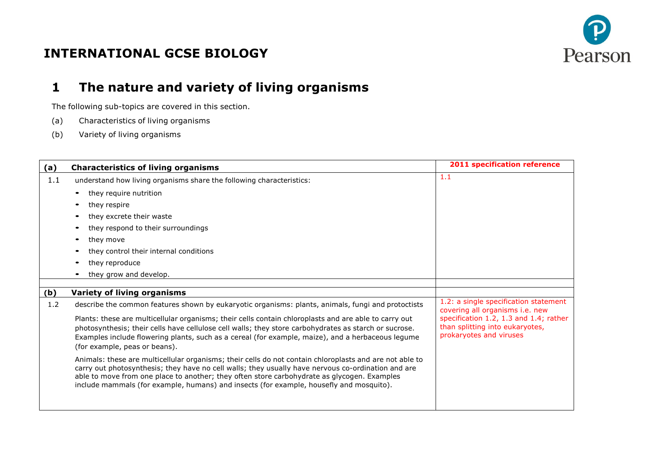

## **INTERNATIONAL GCSE BIOLOGY**

# **1 The nature and variety of living organisms**

- (a) Characteristics of living organisms
- (b) Variety of living organisms

| (a) | <b>Characteristics of living organisms</b>                                                                                                                                                                                                                                                                                                                                                              | <b>2011 specification reference</b>                                                                                |
|-----|---------------------------------------------------------------------------------------------------------------------------------------------------------------------------------------------------------------------------------------------------------------------------------------------------------------------------------------------------------------------------------------------------------|--------------------------------------------------------------------------------------------------------------------|
| 1.1 | understand how living organisms share the following characteristics:                                                                                                                                                                                                                                                                                                                                    | 1.1                                                                                                                |
|     | they require nutrition                                                                                                                                                                                                                                                                                                                                                                                  |                                                                                                                    |
|     | they respire                                                                                                                                                                                                                                                                                                                                                                                            |                                                                                                                    |
|     | they excrete their waste                                                                                                                                                                                                                                                                                                                                                                                |                                                                                                                    |
|     | they respond to their surroundings                                                                                                                                                                                                                                                                                                                                                                      |                                                                                                                    |
|     | they move                                                                                                                                                                                                                                                                                                                                                                                               |                                                                                                                    |
|     | they control their internal conditions                                                                                                                                                                                                                                                                                                                                                                  |                                                                                                                    |
|     | they reproduce                                                                                                                                                                                                                                                                                                                                                                                          |                                                                                                                    |
|     | they grow and develop.                                                                                                                                                                                                                                                                                                                                                                                  |                                                                                                                    |
|     |                                                                                                                                                                                                                                                                                                                                                                                                         |                                                                                                                    |
| (b) | <b>Variety of living organisms</b>                                                                                                                                                                                                                                                                                                                                                                      |                                                                                                                    |
| 1.2 | describe the common features shown by eukaryotic organisms: plants, animals, fungi and protoctists<br>Plants: these are multicellular organisms; their cells contain chloroplasts and are able to carry out                                                                                                                                                                                             | 1.2: a single specification statement<br>covering all organisms i.e. new<br>specification 1.2, 1.3 and 1.4; rather |
|     | photosynthesis; their cells have cellulose cell walls; they store carbohydrates as starch or sucrose.                                                                                                                                                                                                                                                                                                   | than splitting into eukaryotes,                                                                                    |
|     | Examples include flowering plants, such as a cereal (for example, maize), and a herbaceous legume                                                                                                                                                                                                                                                                                                       | prokaryotes and viruses                                                                                            |
|     | (for example, peas or beans).                                                                                                                                                                                                                                                                                                                                                                           |                                                                                                                    |
|     | Animals: these are multicellular organisms; their cells do not contain chloroplasts and are not able to<br>carry out photosynthesis; they have no cell walls; they usually have nervous co-ordination and are<br>able to move from one place to another; they often store carbohydrate as glycogen. Examples<br>include mammals (for example, humans) and insects (for example, housefly and mosquito). |                                                                                                                    |
|     |                                                                                                                                                                                                                                                                                                                                                                                                         |                                                                                                                    |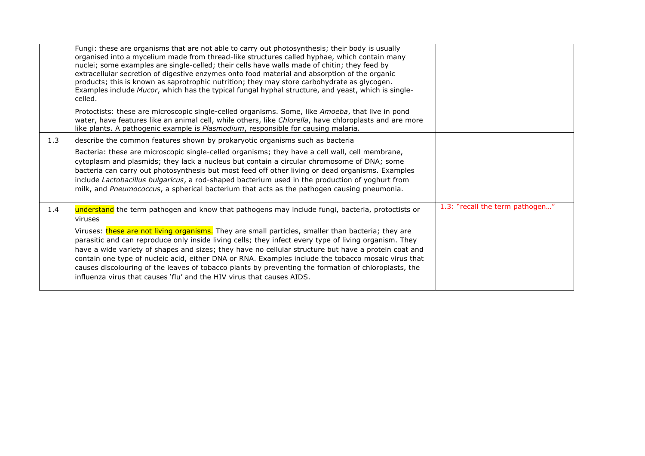|     | Fungi: these are organisms that are not able to carry out photosynthesis; their body is usually<br>organised into a mycelium made from thread-like structures called hyphae, which contain many<br>nuclei; some examples are single-celled; their cells have walls made of chitin; they feed by<br>extracellular secretion of digestive enzymes onto food material and absorption of the organic<br>products; this is known as saprotrophic nutrition; they may store carbohydrate as glycogen.<br>Examples include Mucor, which has the typical fungal hyphal structure, and yeast, which is single-<br>celled. |                                 |
|-----|------------------------------------------------------------------------------------------------------------------------------------------------------------------------------------------------------------------------------------------------------------------------------------------------------------------------------------------------------------------------------------------------------------------------------------------------------------------------------------------------------------------------------------------------------------------------------------------------------------------|---------------------------------|
|     | Protoctists: these are microscopic single-celled organisms. Some, like Amoeba, that live in pond<br>water, have features like an animal cell, while others, like Chlorella, have chloroplasts and are more<br>like plants. A pathogenic example is Plasmodium, responsible for causing malaria.                                                                                                                                                                                                                                                                                                                  |                                 |
| 1.3 | describe the common features shown by prokaryotic organisms such as bacteria                                                                                                                                                                                                                                                                                                                                                                                                                                                                                                                                     |                                 |
|     | Bacteria: these are microscopic single-celled organisms; they have a cell wall, cell membrane,<br>cytoplasm and plasmids; they lack a nucleus but contain a circular chromosome of DNA; some<br>bacteria can carry out photosynthesis but most feed off other living or dead organisms. Examples<br>include Lactobacillus bulgaricus, a rod-shaped bacterium used in the production of yoghurt from<br>milk, and Pneumococcus, a spherical bacterium that acts as the pathogen causing pneumonia.                                                                                                                |                                 |
| 1.4 | understand the term pathogen and know that pathogens may include fungi, bacteria, protoctists or<br>viruses                                                                                                                                                                                                                                                                                                                                                                                                                                                                                                      | 1.3: "recall the term pathogen" |
|     | Viruses: these are not living organisms. They are small particles, smaller than bacteria; they are<br>parasitic and can reproduce only inside living cells; they infect every type of living organism. They<br>have a wide variety of shapes and sizes; they have no cellular structure but have a protein coat and<br>contain one type of nucleic acid, either DNA or RNA. Examples include the tobacco mosaic virus that<br>causes discolouring of the leaves of tobacco plants by preventing the formation of chloroplasts, the<br>influenza virus that causes 'flu' and the HIV virus that causes AIDS.      |                                 |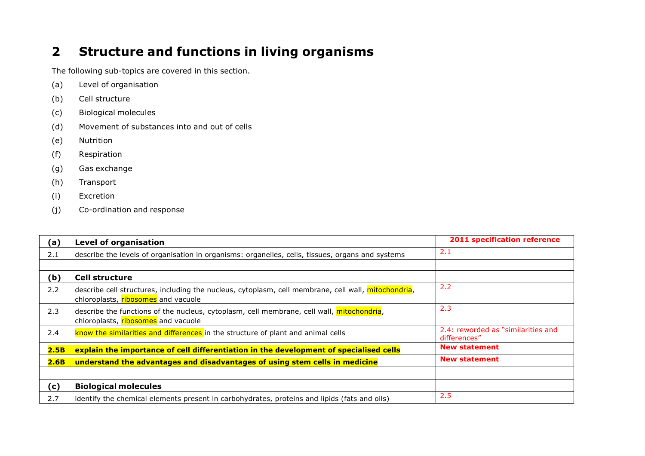# **2 Structure and functions in living organisms**

- (a) Level of organisation
- (b) Cell structure
- (c) Biological molecules
- (d) Movement of substances into and out of cells
- (e) Nutrition
- (f) Respiration
- (g) Gas exchange
- (h) Transport
- (i) Excretion
- (j) Co-ordination and response

| (a)           | <b>Level of organisation</b>                                                                                                               | <b>2011 specification reference</b>                |
|---------------|--------------------------------------------------------------------------------------------------------------------------------------------|----------------------------------------------------|
| 2.1           | describe the levels of organisation in organisms: organelles, cells, tissues, organs and systems                                           | 2.1                                                |
|               |                                                                                                                                            |                                                    |
| (b)           | <b>Cell structure</b>                                                                                                                      |                                                    |
| 2.2           | describe cell structures, including the nucleus, cytoplasm, cell membrane, cell wall, mitochondria,<br>chloroplasts, ribosomes and vacuole | 2.2                                                |
| 2.3           | describe the functions of the nucleus, cytoplasm, cell membrane, cell wall, mitochondria,<br>chloroplasts, ribosomes and vacuole           | 2.3                                                |
| $2.4^{\circ}$ | know the similarities and differences in the structure of plant and animal cells                                                           | 2.4: reworded as "similarities and<br>differences" |
| 2.5B          | explain the importance of cell differentiation in the development of specialised cells                                                     | <b>New statement</b>                               |
| 2.6B          | understand the advantages and disadvantages of using stem cells in medicine                                                                | <b>New statement</b>                               |
|               |                                                                                                                                            |                                                    |
| (c)           | <b>Biological molecules</b>                                                                                                                |                                                    |
| 2.7           | identify the chemical elements present in carbohydrates, proteins and lipids (fats and oils)                                               | 2.5                                                |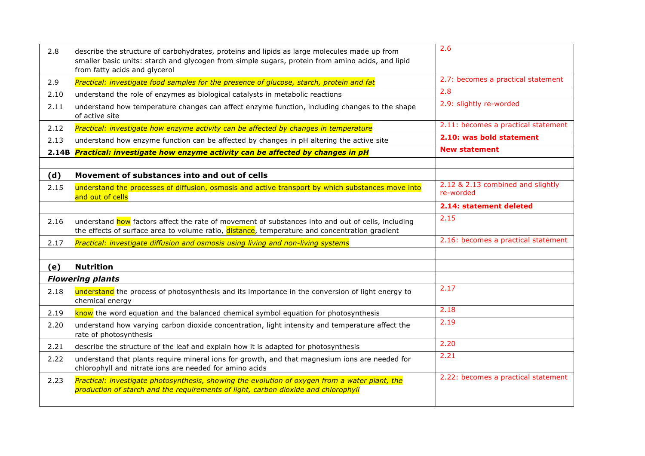| 2.8  | describe the structure of carbohydrates, proteins and lipids as large molecules made up from<br>smaller basic units: starch and glycogen from simple sugars, protein from amino acids, and lipid<br>from fatty acids and glycerol | 2.6                                            |
|------|-----------------------------------------------------------------------------------------------------------------------------------------------------------------------------------------------------------------------------------|------------------------------------------------|
| 2.9  | Practical: investigate food samples for the presence of glucose, starch, protein and fat                                                                                                                                          | 2.7: becomes a practical statement             |
| 2.10 | understand the role of enzymes as biological catalysts in metabolic reactions                                                                                                                                                     | 2.8                                            |
| 2.11 | understand how temperature changes can affect enzyme function, including changes to the shape<br>of active site                                                                                                                   | 2.9: slightly re-worded                        |
| 2.12 | Practical: investigate how enzyme activity can be affected by changes in temperature                                                                                                                                              | 2.11: becomes a practical statement            |
| 2.13 | understand how enzyme function can be affected by changes in pH altering the active site                                                                                                                                          | 2.10: was bold statement                       |
|      | 2.14B Practical: investigate how enzyme activity can be affected by changes in pH                                                                                                                                                 | <b>New statement</b>                           |
|      |                                                                                                                                                                                                                                   |                                                |
| (d)  | Movement of substances into and out of cells                                                                                                                                                                                      |                                                |
| 2.15 | understand the processes of diffusion, osmosis and active transport by which substances move into<br>and out of cells                                                                                                             | 2.12 & 2.13 combined and slightly<br>re-worded |
|      |                                                                                                                                                                                                                                   | 2.14: statement deleted                        |
| 2.16 | understand how factors affect the rate of movement of substances into and out of cells, including<br>the effects of surface area to volume ratio, distance, temperature and concentration gradient                                | 2.15                                           |
| 2.17 | Practical: investigate diffusion and osmosis using living and non-living systems                                                                                                                                                  | 2.16: becomes a practical statement            |
|      |                                                                                                                                                                                                                                   |                                                |
| (e)  | <b>Nutrition</b>                                                                                                                                                                                                                  |                                                |
|      | <b>Flowering plants</b>                                                                                                                                                                                                           |                                                |
| 2.18 | understand the process of photosynthesis and its importance in the conversion of light energy to<br>chemical energy                                                                                                               | 2.17                                           |
| 2.19 | know the word equation and the balanced chemical symbol equation for photosynthesis                                                                                                                                               | 2.18                                           |
| 2.20 | understand how varying carbon dioxide concentration, light intensity and temperature affect the<br>rate of photosynthesis                                                                                                         | 2.19                                           |
| 2.21 | describe the structure of the leaf and explain how it is adapted for photosynthesis                                                                                                                                               | 2.20                                           |
| 2.22 | understand that plants require mineral ions for growth, and that magnesium ions are needed for<br>chlorophyll and nitrate ions are needed for amino acids                                                                         | 2.21                                           |
| 2.23 | Practical: investigate photosynthesis, showing the evolution of oxygen from a water plant, the<br>production of starch and the requirements of light, carbon dioxide and chlorophyll                                              | 2.22: becomes a practical statement            |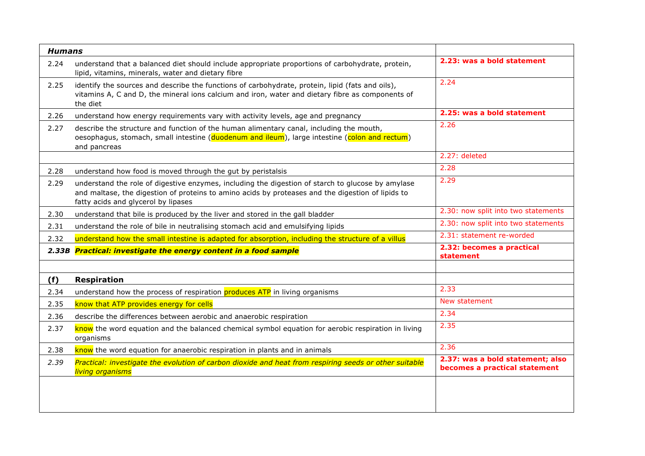| <b>Humans</b> |                                                                                                                                                                                                                                               |                                                                   |
|---------------|-----------------------------------------------------------------------------------------------------------------------------------------------------------------------------------------------------------------------------------------------|-------------------------------------------------------------------|
| 2.24          | understand that a balanced diet should include appropriate proportions of carbohydrate, protein,<br>lipid, vitamins, minerals, water and dietary fibre                                                                                        | 2.23: was a bold statement                                        |
| 2.25          | identify the sources and describe the functions of carbohydrate, protein, lipid (fats and oils),<br>vitamins A, C and D, the mineral ions calcium and iron, water and dietary fibre as components of<br>the diet                              | 2.24                                                              |
| 2.26          | understand how energy requirements vary with activity levels, age and pregnancy                                                                                                                                                               | 2.25: was a bold statement                                        |
| 2.27          | describe the structure and function of the human alimentary canal, including the mouth,<br>oesophagus, stomach, small intestine (duodenum and ileum), large intestine (colon and rectum)<br>and pancreas                                      | 2.26                                                              |
|               |                                                                                                                                                                                                                                               | 2.27: deleted                                                     |
| 2.28          | understand how food is moved through the gut by peristalsis                                                                                                                                                                                   | 2.28                                                              |
| 2.29          | understand the role of digestive enzymes, including the digestion of starch to glucose by amylase<br>and maltase, the digestion of proteins to amino acids by proteases and the digestion of lipids to<br>fatty acids and glycerol by lipases | 2.29                                                              |
| 2.30          | understand that bile is produced by the liver and stored in the gall bladder                                                                                                                                                                  | 2.30: now split into two statements                               |
| 2.31          | understand the role of bile in neutralising stomach acid and emulsifying lipids                                                                                                                                                               | 2.30: now split into two statements                               |
| 2.32          | understand how the small intestine is adapted for absorption, including the structure of a villus                                                                                                                                             | 2.31: statement re-worded                                         |
| 2.33B         | <b>Practical: investigate the energy content in a food sample</b>                                                                                                                                                                             | 2.32: becomes a practical<br>statement                            |
| (f)           | <b>Respiration</b>                                                                                                                                                                                                                            |                                                                   |
| 2.34          | understand how the process of respiration produces ATP in living organisms                                                                                                                                                                    | 2.33                                                              |
| 2.35          | know that ATP provides energy for cells                                                                                                                                                                                                       | New statement                                                     |
| 2.36          | describe the differences between aerobic and anaerobic respiration                                                                                                                                                                            | 2.34                                                              |
| 2.37          | know the word equation and the balanced chemical symbol equation for aerobic respiration in living<br>organisms                                                                                                                               | 2.35                                                              |
| 2.38          | know the word equation for anaerobic respiration in plants and in animals                                                                                                                                                                     | 2.36                                                              |
| 2.39          | Practical: investigate the evolution of carbon dioxide and heat from respiring seeds or other suitable<br>living organisms                                                                                                                    | 2.37: was a bold statement; also<br>becomes a practical statement |
|               |                                                                                                                                                                                                                                               |                                                                   |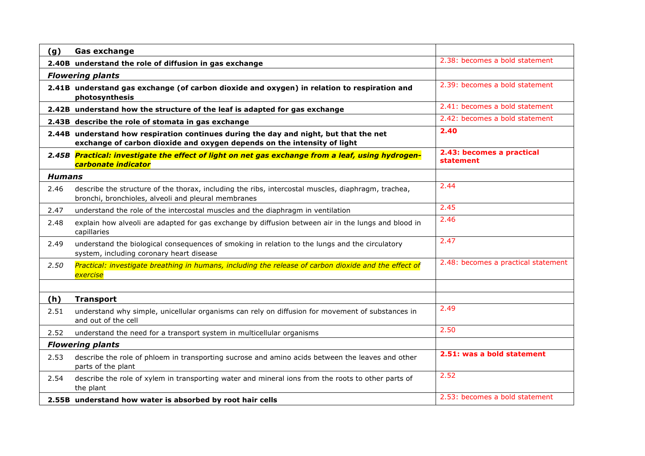| (g)                     | <b>Gas exchange</b>                                                                                                                                              |                                        |
|-------------------------|------------------------------------------------------------------------------------------------------------------------------------------------------------------|----------------------------------------|
|                         | 2.40B understand the role of diffusion in gas exchange                                                                                                           | 2.38: becomes a bold statement         |
|                         | <b>Flowering plants</b>                                                                                                                                          |                                        |
|                         | 2.41B understand gas exchange (of carbon dioxide and oxygen) in relation to respiration and<br>photosynthesis                                                    | 2.39: becomes a bold statement         |
|                         | 2.42B understand how the structure of the leaf is adapted for gas exchange                                                                                       | 2.41: becomes a bold statement         |
|                         | 2.43B describe the role of stomata in gas exchange                                                                                                               | 2.42: becomes a bold statement         |
|                         | 2.44B understand how respiration continues during the day and night, but that the net<br>exchange of carbon dioxide and oxygen depends on the intensity of light | 2.40                                   |
|                         | 2.45B Practical: investigate the effect of light on net gas exchange from a leaf, using hydrogen-<br>carbonate indicator                                         | 2.43: becomes a practical<br>statement |
| <b>Humans</b>           |                                                                                                                                                                  |                                        |
| 2.46                    | describe the structure of the thorax, including the ribs, intercostal muscles, diaphragm, trachea,<br>bronchi, bronchioles, alveoli and pleural membranes        | 2.44                                   |
| 2.47                    | understand the role of the intercostal muscles and the diaphragm in ventilation                                                                                  | 2.45                                   |
| 2.48                    | explain how alveoli are adapted for gas exchange by diffusion between air in the lungs and blood in<br>capillaries                                               | 2.46                                   |
| 2.49                    | understand the biological consequences of smoking in relation to the lungs and the circulatory<br>system, including coronary heart disease                       | 2.47                                   |
| 2.50                    | Practical: investigate breathing in humans, including the release of carbon dioxide and the effect of<br>exercise                                                | 2.48: becomes a practical statement    |
|                         |                                                                                                                                                                  |                                        |
| (h)                     | <b>Transport</b>                                                                                                                                                 |                                        |
| 2.51                    | understand why simple, unicellular organisms can rely on diffusion for movement of substances in<br>and out of the cell                                          | 2.49                                   |
| 2.52                    | understand the need for a transport system in multicellular organisms                                                                                            | 2.50                                   |
| <b>Flowering plants</b> |                                                                                                                                                                  |                                        |
| 2.53                    | describe the role of phloem in transporting sucrose and amino acids between the leaves and other<br>parts of the plant                                           | 2.51: was a bold statement             |
| 2.54                    | describe the role of xylem in transporting water and mineral ions from the roots to other parts of<br>the plant                                                  | 2.52                                   |
|                         | 2.55B understand how water is absorbed by root hair cells                                                                                                        | 2.53: becomes a bold statement         |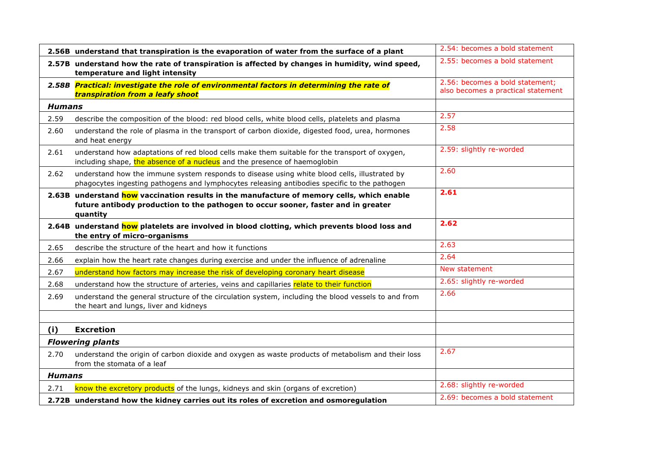|               | 2.56B understand that transpiration is the evaporation of water from the surface of a plant                                                                                                  | 2.54: becomes a bold statement                                        |
|---------------|----------------------------------------------------------------------------------------------------------------------------------------------------------------------------------------------|-----------------------------------------------------------------------|
|               | 2.57B understand how the rate of transpiration is affected by changes in humidity, wind speed,<br>temperature and light intensity                                                            | 2.55: becomes a bold statement                                        |
|               | 2.58B Practical: investigate the role of environmental factors in determining the rate of<br>transpiration from a leafy shoot                                                                | 2.56: becomes a bold statement;<br>also becomes a practical statement |
| <b>Humans</b> |                                                                                                                                                                                              |                                                                       |
| 2.59          | describe the composition of the blood: red blood cells, white blood cells, platelets and plasma                                                                                              | 2.57                                                                  |
| 2.60          | understand the role of plasma in the transport of carbon dioxide, digested food, urea, hormones<br>and heat energy                                                                           | 2.58                                                                  |
| 2.61          | understand how adaptations of red blood cells make them suitable for the transport of oxygen,<br>including shape, the absence of a nucleus and the presence of haemoglobin                   | 2.59: slightly re-worded                                              |
| 2.62          | understand how the immune system responds to disease using white blood cells, illustrated by<br>phagocytes ingesting pathogens and lymphocytes releasing antibodies specific to the pathogen | 2.60                                                                  |
|               | 2.63B understand how vaccination results in the manufacture of memory cells, which enable<br>future antibody production to the pathogen to occur sooner, faster and in greater<br>quantity   | 2.61                                                                  |
|               | 2.64B understand how platelets are involved in blood clotting, which prevents blood loss and<br>the entry of micro-organisms                                                                 | 2.62                                                                  |
| 2.65          | describe the structure of the heart and how it functions                                                                                                                                     | 2.63                                                                  |
| 2.66          | explain how the heart rate changes during exercise and under the influence of adrenaline                                                                                                     | 2.64                                                                  |
| 2.67          | understand how factors may increase the risk of developing coronary heart disease                                                                                                            | New statement                                                         |
| 2.68          | understand how the structure of arteries, veins and capillaries relate to their function                                                                                                     | 2.65: slightly re-worded                                              |
| 2.69          | understand the general structure of the circulation system, including the blood vessels to and from<br>the heart and lungs, liver and kidneys                                                | 2.66                                                                  |
| (i)           | <b>Excretion</b>                                                                                                                                                                             |                                                                       |
|               | <b>Flowering plants</b>                                                                                                                                                                      |                                                                       |
| 2.70          | understand the origin of carbon dioxide and oxygen as waste products of metabolism and their loss<br>from the stomata of a leaf                                                              | 2.67                                                                  |
| <b>Humans</b> |                                                                                                                                                                                              |                                                                       |
| 2.71          | know the excretory products of the lungs, kidneys and skin (organs of excretion)                                                                                                             | 2.68: slightly re-worded                                              |
|               | 2.72B understand how the kidney carries out its roles of excretion and osmoregulation                                                                                                        | 2.69: becomes a bold statement                                        |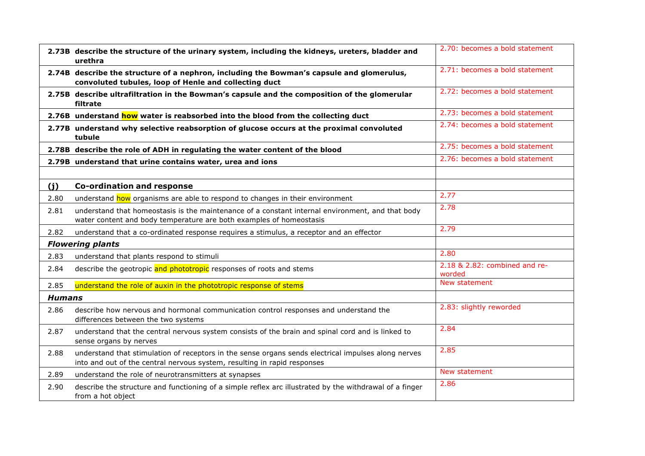|               | 2.73B describe the structure of the urinary system, including the kidneys, ureters, bladder and<br>urethra                                                                      | 2.70: becomes a bold statement          |
|---------------|---------------------------------------------------------------------------------------------------------------------------------------------------------------------------------|-----------------------------------------|
|               | 2.74B describe the structure of a nephron, including the Bowman's capsule and glomerulus,<br>convoluted tubules, loop of Henle and collecting duct                              | 2.71: becomes a bold statement          |
|               | 2.75B describe ultrafiltration in the Bowman's capsule and the composition of the glomerular<br>filtrate                                                                        | 2.72: becomes a bold statement          |
|               | 2.76B understand how water is reabsorbed into the blood from the collecting duct                                                                                                | 2.73: becomes a bold statement          |
|               | 2.77B understand why selective reabsorption of glucose occurs at the proximal convoluted<br>tubule                                                                              | 2.74: becomes a bold statement          |
|               | 2.78B describe the role of ADH in regulating the water content of the blood                                                                                                     | 2.75: becomes a bold statement          |
|               | 2.79B understand that urine contains water, urea and ions                                                                                                                       | 2.76: becomes a bold statement          |
|               |                                                                                                                                                                                 |                                         |
| (i)           | <b>Co-ordination and response</b>                                                                                                                                               |                                         |
| 2.80          | understand how organisms are able to respond to changes in their environment                                                                                                    | 2.77                                    |
| 2.81          | understand that homeostasis is the maintenance of a constant internal environment, and that body<br>water content and body temperature are both examples of homeostasis         | 2.78                                    |
| 2.82          | understand that a co-ordinated response requires a stimulus, a receptor and an effector                                                                                         | 2.79                                    |
|               | <b>Flowering plants</b>                                                                                                                                                         |                                         |
| 2.83          | understand that plants respond to stimuli                                                                                                                                       | 2.80                                    |
| 2.84          | describe the geotropic and phototropic responses of roots and stems                                                                                                             | 2.18 & 2.82: combined and re-<br>worded |
| 2.85          | understand the role of auxin in the phototropic response of stems                                                                                                               | New statement                           |
| <b>Humans</b> |                                                                                                                                                                                 |                                         |
| 2.86          | describe how nervous and hormonal communication control responses and understand the<br>differences between the two systems                                                     | 2.83: slightly reworded                 |
| 2.87          | understand that the central nervous system consists of the brain and spinal cord and is linked to<br>sense organs by nerves                                                     | 2.84                                    |
| 2.88          | understand that stimulation of receptors in the sense organs sends electrical impulses along nerves<br>into and out of the central nervous system, resulting in rapid responses | 2.85                                    |
| 2.89          | understand the role of neurotransmitters at synapses                                                                                                                            | New statement                           |
| 2.90          | describe the structure and functioning of a simple reflex arc illustrated by the withdrawal of a finger<br>from a hot object                                                    | 2.86                                    |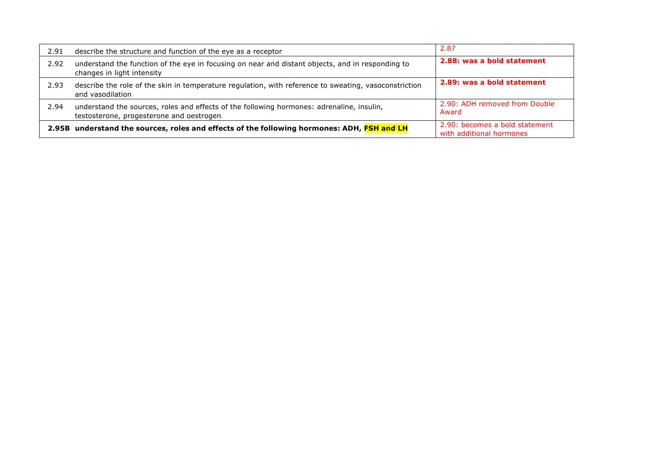| 2.91 | describe the structure and function of the eye as a receptor                                                                          | 2.87                                                       |
|------|---------------------------------------------------------------------------------------------------------------------------------------|------------------------------------------------------------|
| 2.92 | understand the function of the eye in focusing on near and distant objects, and in responding to<br>changes in light intensity        | 2.88: was a bold statement                                 |
| 2.93 | describe the role of the skin in temperature regulation, with reference to sweating, vasoconstriction<br>and vasodilation             | 2.89: was a bold statement                                 |
| 2.94 | understand the sources, roles and effects of the following hormones: adrenaline, insulin,<br>testosterone, progesterone and oestrogen | 2.90: ADH removed from Double<br>Award                     |
|      | 2.95B understand the sources, roles and effects of the following hormones: ADH, FSH and LH                                            | 2.90: becomes a bold statement<br>with additional hormones |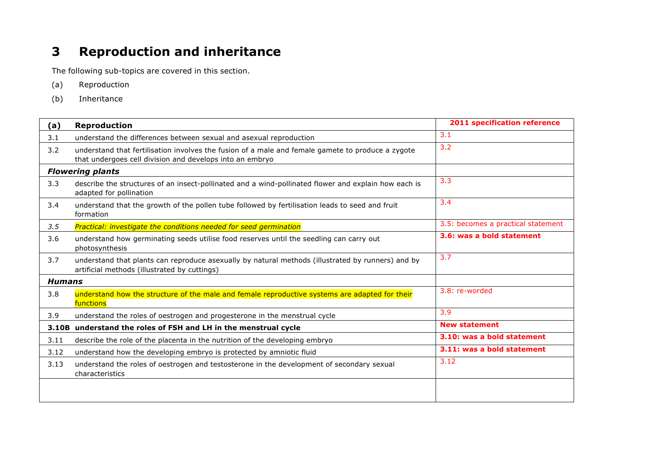## **3 Reproduction and inheritance**

- (a) Reproduction
- (b) Inheritance

| (a)           | <b>Reproduction</b>                                                                                                                                           | <b>2011 specification reference</b> |
|---------------|---------------------------------------------------------------------------------------------------------------------------------------------------------------|-------------------------------------|
| 3.1           | understand the differences between sexual and asexual reproduction                                                                                            | 3.1                                 |
| 3.2           | understand that fertilisation involves the fusion of a male and female gamete to produce a zygote<br>that undergoes cell division and develops into an embryo | 3.2                                 |
|               | <b>Flowering plants</b>                                                                                                                                       |                                     |
| 3.3           | describe the structures of an insect-pollinated and a wind-pollinated flower and explain how each is<br>adapted for pollination                               | 3.3                                 |
| 3.4           | understand that the growth of the pollen tube followed by fertilisation leads to seed and fruit<br>formation                                                  | 3.4                                 |
| 3.5           | Practical: investigate the conditions needed for seed germination                                                                                             | 3.5: becomes a practical statement  |
| 3.6           | understand how germinating seeds utilise food reserves until the seedling can carry out<br>photosynthesis                                                     | 3.6: was a bold statement           |
| 3.7           | understand that plants can reproduce asexually by natural methods (illustrated by runners) and by<br>artificial methods (illustrated by cuttings)             | 3.7                                 |
| <b>Humans</b> |                                                                                                                                                               |                                     |
| 3.8           | understand how the structure of the male and female reproductive systems are adapted for their<br>functions                                                   | 3.8: re-worded                      |
| 3.9           | understand the roles of oestrogen and progesterone in the menstrual cycle                                                                                     | 3.9                                 |
|               | 3.10B understand the roles of FSH and LH in the menstrual cycle                                                                                               | <b>New statement</b>                |
| 3.11          | describe the role of the placenta in the nutrition of the developing embryo                                                                                   | 3.10: was a bold statement          |
| 3.12          | understand how the developing embryo is protected by amniotic fluid                                                                                           | 3.11: was a bold statement          |
| 3.13          | understand the roles of oestrogen and testosterone in the development of secondary sexual<br>characteristics                                                  | 3.12                                |
|               |                                                                                                                                                               |                                     |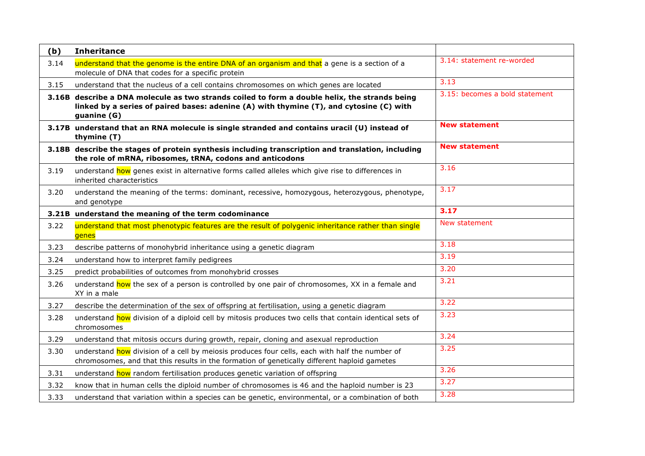| (b)  | <b>Inheritance</b>                                                                                                                                                                                      |                                |
|------|---------------------------------------------------------------------------------------------------------------------------------------------------------------------------------------------------------|--------------------------------|
| 3.14 | understand that the genome is the entire DNA of an organism and that a gene is a section of a<br>molecule of DNA that codes for a specific protein                                                      | 3.14: statement re-worded      |
| 3.15 | understand that the nucleus of a cell contains chromosomes on which genes are located                                                                                                                   | 3.13                           |
|      | 3.16B describe a DNA molecule as two strands coiled to form a double helix, the strands being<br>linked by a series of paired bases: adenine (A) with thymine (T), and cytosine (C) with<br>guanine (G) | 3.15: becomes a bold statement |
|      | 3.17B understand that an RNA molecule is single stranded and contains uracil (U) instead of<br>thymine (T)                                                                                              | <b>New statement</b>           |
|      | 3.18B describe the stages of protein synthesis including transcription and translation, including<br>the role of mRNA, ribosomes, tRNA, codons and anticodons                                           | <b>New statement</b>           |
| 3.19 | understand how genes exist in alternative forms called alleles which give rise to differences in<br>inherited characteristics                                                                           | 3.16                           |
| 3.20 | understand the meaning of the terms: dominant, recessive, homozygous, heterozygous, phenotype,<br>and genotype                                                                                          | 3.17                           |
|      | 3.21B understand the meaning of the term codominance                                                                                                                                                    | 3.17                           |
| 3.22 | understand that most phenotypic features are the result of polygenic inheritance rather than single<br>genes                                                                                            | New statement                  |
| 3.23 | describe patterns of monohybrid inheritance using a genetic diagram                                                                                                                                     | 3.18                           |
| 3.24 | understand how to interpret family pedigrees                                                                                                                                                            | 3.19                           |
| 3.25 | predict probabilities of outcomes from monohybrid crosses                                                                                                                                               | 3.20                           |
| 3.26 | understand how the sex of a person is controlled by one pair of chromosomes, XX in a female and<br>XY in a male                                                                                         | 3.21                           |
| 3.27 | describe the determination of the sex of offspring at fertilisation, using a genetic diagram                                                                                                            | $\overline{3.22}$              |
| 3.28 | understand how division of a diploid cell by mitosis produces two cells that contain identical sets of<br>chromosomes                                                                                   | 3.23                           |
| 3.29 | understand that mitosis occurs during growth, repair, cloning and asexual reproduction                                                                                                                  | 3.24                           |
| 3.30 | understand how division of a cell by meiosis produces four cells, each with half the number of<br>chromosomes, and that this results in the formation of genetically different haploid gametes          | 3.25                           |
| 3.31 | understand how random fertilisation produces genetic variation of offspring                                                                                                                             | 3.26                           |
| 3.32 | know that in human cells the diploid number of chromosomes is 46 and the haploid number is 23                                                                                                           | 3.27                           |
| 3.33 | understand that variation within a species can be genetic, environmental, or a combination of both                                                                                                      | 3.28                           |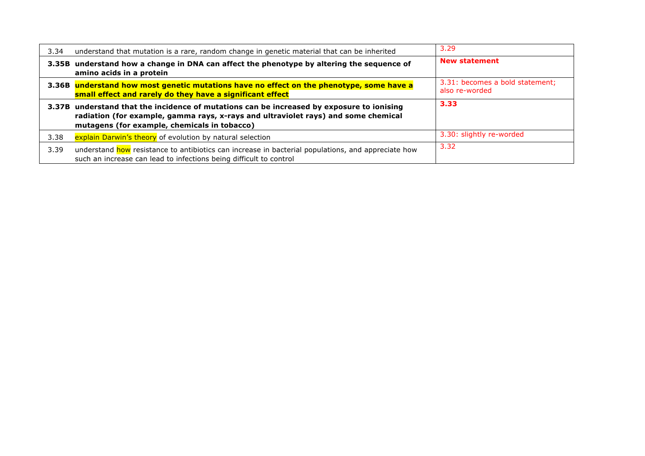| 3.34 | understand that mutation is a rare, random change in genetic material that can be inherited                                                                                                                                     | 3.29                                              |
|------|---------------------------------------------------------------------------------------------------------------------------------------------------------------------------------------------------------------------------------|---------------------------------------------------|
|      | 3.35B understand how a change in DNA can affect the phenotype by altering the sequence of<br>amino acids in a protein                                                                                                           | <b>New statement</b>                              |
|      | 3.36B understand how most genetic mutations have no effect on the phenotype, some have a<br>small effect and rarely do they have a significant effect                                                                           | 3.31: becomes a bold statement;<br>also re-worded |
|      | 3.37B understand that the incidence of mutations can be increased by exposure to ionising<br>radiation (for example, gamma rays, x-rays and ultraviolet rays) and some chemical<br>mutagens (for example, chemicals in tobacco) | 3.33                                              |
| 3.38 | explain Darwin's theory of evolution by natural selection                                                                                                                                                                       | 3.30: slightly re-worded                          |
| 3.39 | understand how resistance to antibiotics can increase in bacterial populations, and appreciate how<br>such an increase can lead to infections being difficult to control                                                        | 3.32                                              |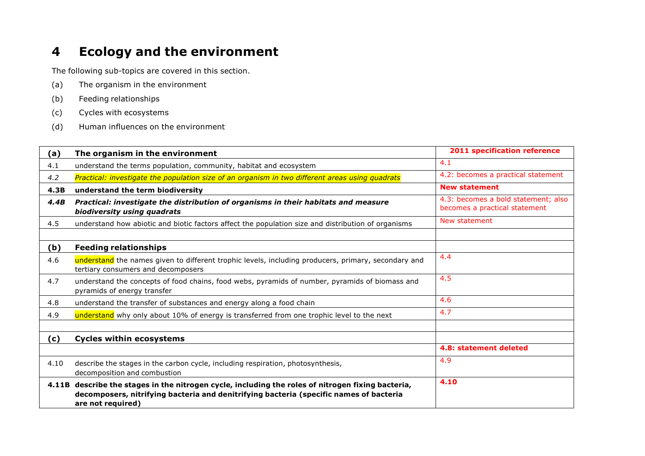## **4 Ecology and the environment**

- (a) The organism in the environment
- (b) Feeding relationships
- (c) Cycles with ecosystems
- (d) Human influences on the environment

| (a)  | The organism in the environment                                                                                                                                                                                  | 2011 specification reference                                         |
|------|------------------------------------------------------------------------------------------------------------------------------------------------------------------------------------------------------------------|----------------------------------------------------------------------|
| 4.1  | understand the terms population, community, habitat and ecosystem                                                                                                                                                | 4.1                                                                  |
| 4.2  | Practical: investigate the population size of an organism in two different areas using quadrats                                                                                                                  | 4.2: becomes a practical statement                                   |
| 4.3B | understand the term biodiversity                                                                                                                                                                                 | <b>New statement</b>                                                 |
| 4.4B | Practical: investigate the distribution of organisms in their habitats and measure<br>biodiversity using quadrats                                                                                                | 4.3: becomes a bold statement; also<br>becomes a practical statement |
| 4.5  | understand how abiotic and biotic factors affect the population size and distribution of organisms                                                                                                               | New statement                                                        |
|      |                                                                                                                                                                                                                  |                                                                      |
| (b)  | <b>Feeding relationships</b>                                                                                                                                                                                     |                                                                      |
| 4.6  | understand the names given to different trophic levels, including producers, primary, secondary and<br>tertiary consumers and decomposers                                                                        | 4.4                                                                  |
| 4.7  | understand the concepts of food chains, food webs, pyramids of number, pyramids of biomass and<br>pyramids of energy transfer                                                                                    | 4.5                                                                  |
| 4.8  | understand the transfer of substances and energy along a food chain                                                                                                                                              | 4.6                                                                  |
| 4.9  | understand why only about 10% of energy is transferred from one trophic level to the next                                                                                                                        | 4.7                                                                  |
|      |                                                                                                                                                                                                                  |                                                                      |
| (c)  | <b>Cycles within ecosystems</b>                                                                                                                                                                                  |                                                                      |
|      |                                                                                                                                                                                                                  | 4.8: statement deleted                                               |
| 4.10 | describe the stages in the carbon cycle, including respiration, photosynthesis,<br>decomposition and combustion                                                                                                  | 4.9                                                                  |
|      | 4.11B describe the stages in the nitrogen cycle, including the roles of nitrogen fixing bacteria,<br>decomposers, nitrifying bacteria and denitrifying bacteria (specific names of bacteria<br>are not required) | 4.10                                                                 |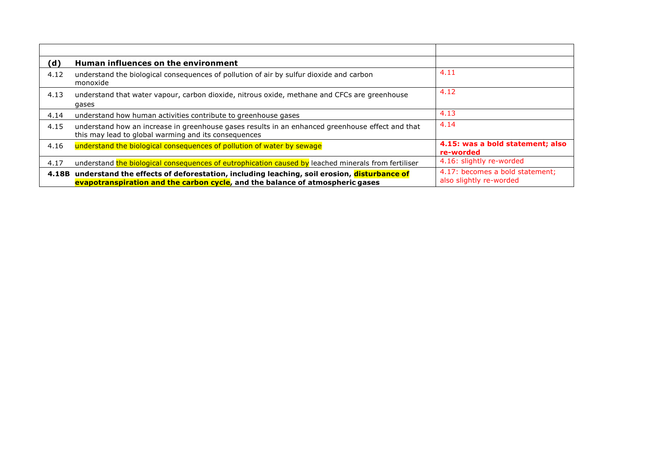| (d)  | Human influences on the environment                                                                                                                                              |                                                            |
|------|----------------------------------------------------------------------------------------------------------------------------------------------------------------------------------|------------------------------------------------------------|
| 4.12 | understand the biological consequences of pollution of air by sulfur dioxide and carbon<br>monoxide                                                                              | 4.11                                                       |
| 4.13 | understand that water vapour, carbon dioxide, nitrous oxide, methane and CFCs are greenhouse<br>gases                                                                            | 4.12                                                       |
| 4.14 | understand how human activities contribute to greenhouse gases                                                                                                                   | 4.13                                                       |
| 4.15 | understand how an increase in greenhouse gases results in an enhanced greenhouse effect and that<br>this may lead to global warming and its consequences                         | 4.14                                                       |
| 4.16 | understand the biological consequences of pollution of water by sewage                                                                                                           | 4.15: was a bold statement; also<br>re-worded              |
| 4.17 | understand the biological consequences of eutrophication caused by leached minerals from fertiliser                                                                              | 4.16: slightly re-worded                                   |
|      | 4.18B understand the effects of deforestation, including leaching, soil erosion, disturbance of<br>evapotranspiration and the carbon cycle, and the balance of atmospheric gases | 4.17: becomes a bold statement;<br>also slightly re-worded |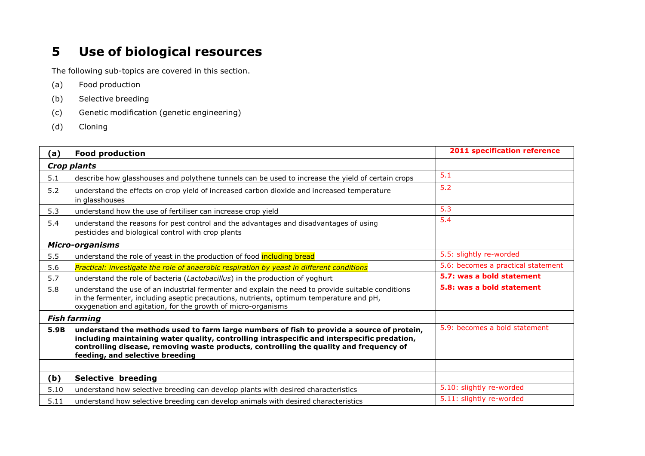## **5 Use of biological resources**

- (a) Food production
- (b) Selective breeding
- (c) Genetic modification (genetic engineering)
- (d) Cloning

| (a)                    | <b>Food production</b>                                                                                                                                                                                                                                                                                                | <b>2011 specification reference</b> |  |  |  |
|------------------------|-----------------------------------------------------------------------------------------------------------------------------------------------------------------------------------------------------------------------------------------------------------------------------------------------------------------------|-------------------------------------|--|--|--|
|                        | <b>Crop plants</b>                                                                                                                                                                                                                                                                                                    |                                     |  |  |  |
| 5.1                    | describe how glasshouses and polythene tunnels can be used to increase the yield of certain crops                                                                                                                                                                                                                     | 5.1                                 |  |  |  |
| 5.2                    | understand the effects on crop yield of increased carbon dioxide and increased temperature<br>in glasshouses                                                                                                                                                                                                          | 5.2                                 |  |  |  |
| 5.3                    | understand how the use of fertiliser can increase crop yield                                                                                                                                                                                                                                                          | 5.3                                 |  |  |  |
| 5.4                    | understand the reasons for pest control and the advantages and disadvantages of using<br>pesticides and biological control with crop plants                                                                                                                                                                           | 5.4                                 |  |  |  |
| <b>Micro-organisms</b> |                                                                                                                                                                                                                                                                                                                       |                                     |  |  |  |
| 5.5                    | understand the role of yeast in the production of food including bread                                                                                                                                                                                                                                                | 5.5: slightly re-worded             |  |  |  |
| 5.6                    | Practical: investigate the role of anaerobic respiration by yeast in different conditions                                                                                                                                                                                                                             | 5.6: becomes a practical statement  |  |  |  |
| 5.7                    | understand the role of bacteria (Lactobacillus) in the production of yoghurt                                                                                                                                                                                                                                          | 5.7: was a bold statement           |  |  |  |
| 5.8                    | understand the use of an industrial fermenter and explain the need to provide suitable conditions<br>in the fermenter, including aseptic precautions, nutrients, optimum temperature and pH,<br>oxygenation and agitation, for the growth of micro-organisms                                                          | 5.8: was a bold statement           |  |  |  |
|                        | <b>Fish farming</b>                                                                                                                                                                                                                                                                                                   |                                     |  |  |  |
| 5.9B                   | understand the methods used to farm large numbers of fish to provide a source of protein,<br>including maintaining water quality, controlling intraspecific and interspecific predation,<br>controlling disease, removing waste products, controlling the quality and frequency of<br>feeding, and selective breeding | 5.9: becomes a bold statement       |  |  |  |
|                        |                                                                                                                                                                                                                                                                                                                       |                                     |  |  |  |
| (b)                    | <b>Selective breeding</b>                                                                                                                                                                                                                                                                                             |                                     |  |  |  |
| 5.10                   | understand how selective breeding can develop plants with desired characteristics                                                                                                                                                                                                                                     | 5.10: slightly re-worded            |  |  |  |
| 5.11                   | understand how selective breeding can develop animals with desired characteristics                                                                                                                                                                                                                                    | 5.11: slightly re-worded            |  |  |  |